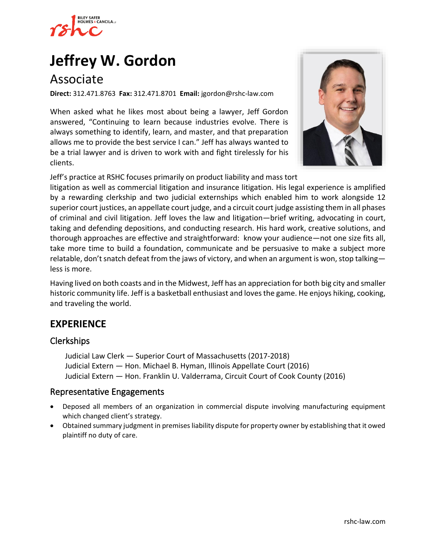

# **[Jeffrey W. Gordon](https://www.rshc-law.com/attorneys/attorney/jeffrey-w.-gordon)**

# Associate

**Direct:** 312.471.8763 **Fax:** 312.471.8701 **Email:** jgordon@rshc-law.com

When asked what he likes most about being a lawyer, Jeff Gordon answered, "Continuing to learn because industries evolve. There is always something to identify, learn, and master, and that preparation allows me to provide the best service I can." Jeff has always wanted to be a trial lawyer and is driven to work with and fight tirelessly for his clients.



Jeff's practice at RSHC focuses primarily on product liability and mass to[rt](https://www.rshc-law.com/attorneys/attorney/jeffrey-w.-gordon) 

litigation as well as commercial litigation and insurance litigation. His legal experience is amplified by a rewarding clerkship and two judicial externships which enabled him to work alongside 12 superior court justices, an appellate court judge, and a circuit court judge assisting them in all phases of criminal and civil litigation. Jeff loves the law and litigation—brief writing, advocating in court, taking and defending depositions, and conducting research. His hard work, creative solutions, and thorough approaches are effective and straightforward: know your audience—not one size fits all, take more time to build a foundation, communicate and be persuasive to make a subject more relatable, don't snatch defeat from the jaws of victory, and when an argument is won, stop talking less is more.

Having lived on both coasts and in the Midwest, Jeff has an appreciation for both big city and smaller historic community life. Jeff is a basketball enthusiast and loves the game. He enjoys hiking, cooking, and traveling the world.

# **EXPERIENCE**

#### Clerkships

Judicial Law Clerk — Superior Court of Massachusetts (2017-2018) Judicial Extern — Hon. Michael B. Hyman, Illinois Appellate Court (2016) Judicial Extern — Hon. Franklin U. Valderrama, Circuit Court of Cook County (2016)

#### Representative Engagements

- Deposed all members of an organization in commercial dispute involving manufacturing equipment which changed client's strategy.
- Obtained summary judgment in premises liability dispute for property owner by establishing that it owed plaintiff no duty of care.